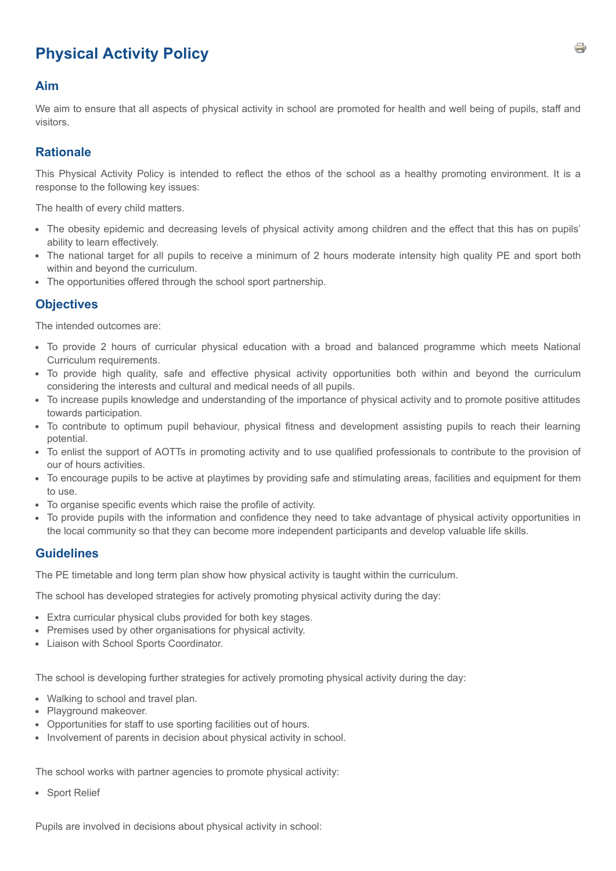# **Physical Activity Policy**

#### **Aim**

We aim to ensure that all aspects of physical activity in school are promoted for health and well being of pupils, staff and visitors.

#### **Rationale**

This Physical Activity Policy is intended to reflect the ethos of the school as a healthy promoting environment. It is a response to the following key issues:

The health of every child matters.

- The obesity epidemic and decreasing levels of physical activity among children and the effect that this has on pupils' ability to learn effectively.
- The national target for all pupils to receive a minimum of 2 hours moderate intensity high quality PE and sport both within and beyond the curriculum.
- The opportunities offered through the school sport partnership.

#### **Objectives**

The intended outcomes are:

- To provide 2 hours of curricular physical education with a broad and balanced programme which meets National Curriculum requirements.
- To provide high quality, safe and effective physical activity opportunities both within and beyond the curriculum considering the interests and cultural and medical needs of all pupils.
- To increase pupils knowledge and understanding of the importance of physical activity and to promote positive attitudes towards participation.
- To contribute to optimum pupil behaviour, physical fitness and development assisting pupils to reach their learning potential.
- To enlist the support of AOTTs in promoting activity and to use qualified professionals to contribute to the provision of our of hours activities.
- To encourage pupils to be active at playtimes by providing safe and stimulating areas, facilities and equipment for them to use.
- To organise specific events which raise the profile of activity.
- To provide pupils with the information and confidence they need to take advantage of physical activity opportunities in the local community so that they can become more independent participants and develop valuable life skills.

#### **Guidelines**

The PE timetable and long term plan show how physical activity is taught within the curriculum.

The school has developed strategies for actively promoting physical activity during the day:

- Extra curricular physical clubs provided for both key stages.
- Premises used by other organisations for physical activity.
- Liaison with School Sports Coordinator.

The school is developing further strategies for actively promoting physical activity during the day:

- Walking to school and travel plan.
- Playground makeover.
- Opportunities for staff to use sporting facilities out of hours.
- Involvement of parents in decision about physical activity in school.

The school works with partner agencies to promote physical activity:

• Sport Relief

Pupils are involved in decisions about physical activity in school: